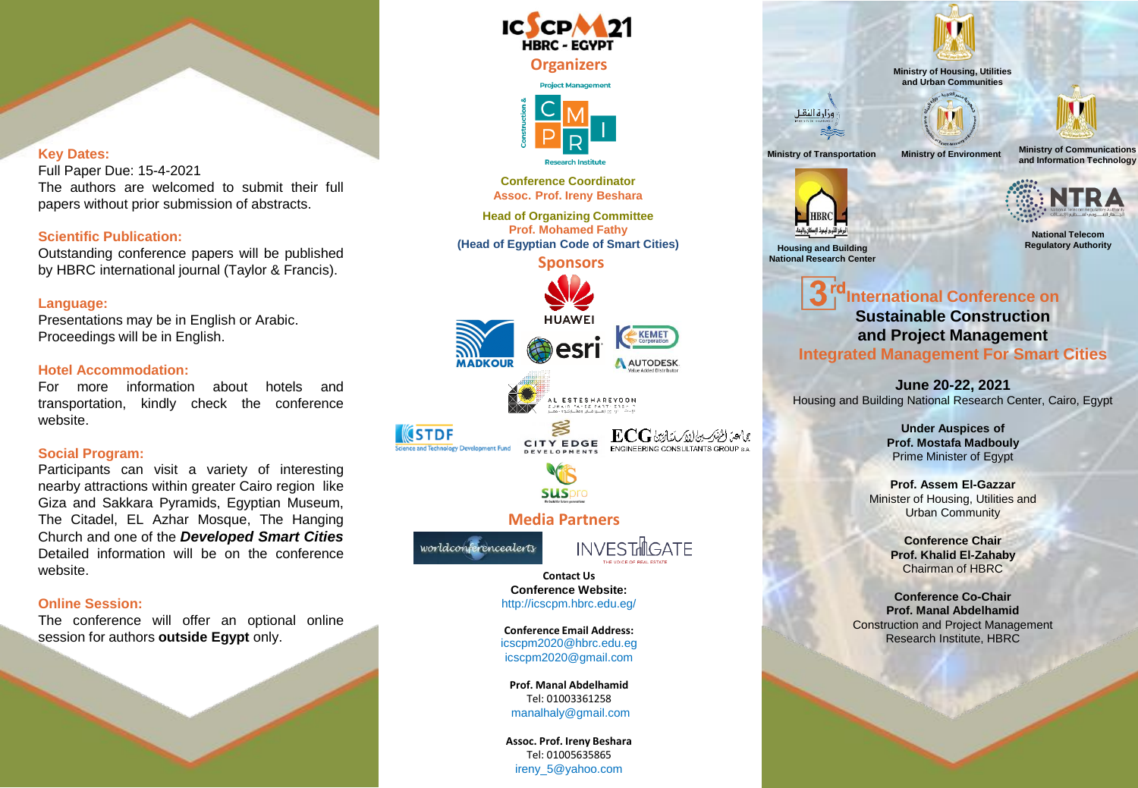## **Key Dates:**

Full Paper Due: 15-4-2021 The authors are welcomed to submit their full papers without prior submission of abstracts.

## **Scientific Publication:**

Outstanding conference papers will be published by HBRC international journal (Taylor & Francis).

## **Language:**

Presentations may be in English or Arabic. Proceedings will be in English.

#### **Hotel Accommodation:**

For more information about hotels and transportation, kindly check the conference website.

## **Social Program:**

Participants can visit a variety of interesting nearby attractions within greater Cairo region like Giza and Sakkara Pyramids, Egyptian Museum, The Citadel, EL Azhar Mosque, The Hanging Church and one of the *Developed Smart Cities* Detailed information will be on the conference website.

## **Online Session:**

The conference will offer an optional online session for authors **outside Egypt** only.





**Prof. Assem El-Gazzar** Minister of Housing, Utilities and Urban Community

> **Conference Chair Prof. Khalid El-Zahaby** Chairman of HBRC

**Conference Co-Chair Prof. Manal Abdelhamid** Construction and Project Management Research Institute, HBRC